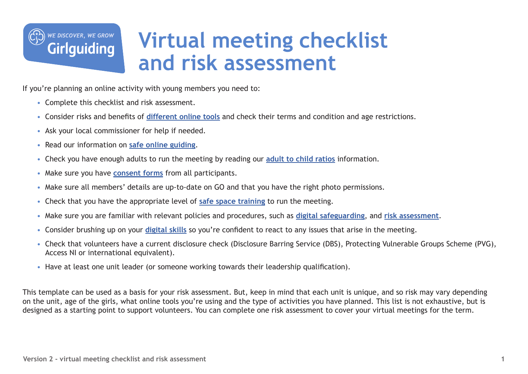

# **Virtual meeting checklist and risk assessment**

If you're planning an online activity with young members you need to:

- Complete this checklist and risk assessment.
- • Consider risks and benefits of **[different online tools](https://www.girlguiding.org.uk/what-we-do/adventures-at-home/online-guiding-and-virtual-unit-meetings/digital-platforms-for-guiding/)** and check their terms and condition and age restrictions.
- Ask your local commissioner for help if needed.
- Read our information on **[safe online guiding](https://www.girlguiding.org.uk/what-we-do/adventures-at-home/online-guiding-and-virtual-unit-meetings/safe-online-guiding/)**.
- Check you have enough adults to run the meeting by reading our **[adult to child ratios](https://www.girlguiding.org.uk/making-guiding-happen/running-your-unit/safeguarding-and-risk/adult-to-child-ratios/)** information.
- Make sure you have **[consent forms](https://www.girlguiding.org.uk/globalassets/docs-and-resources/safeguarding-and-risk/virtual-meeting-parental-consent-form.pdf)** from all participants.
- Make sure all members' details are up-to-date on GO and that you have the right photo permissions.
- Check that you have the appropriate level of **[safe space training](https://www.girlguiding.org.uk/making-guiding-happen/learning-and-development/a-safe-space-training/)** to run the meeting.
- Make sure you are familiar with relevant policies and procedures, such as **[digital safeguarding](https://www.girlguiding.org.uk/making-guiding-happen/policies/digital-safeguarding-policy/)**, and **[risk assessment](https://www.girlguiding.org.uk/making-guiding-happen/policies/safeguarding-policy/risk-assessment-policy/)**.
- Consider brushing up on your **[digital skills](https://www.girlguiding.org.uk/what-we-do/adventures-at-home/online-guiding-and-virtual-unit-meetings/digital-skills-how-to-webinars/)** so you're confident to react to any issues that arise in the meeting.
- Check that volunteers have a current disclosure check (Disclosure Barring Service (DBS), Protecting Vulnerable Groups Scheme (PVG), Access NI or international equivalent).
- Have at least one unit leader (or someone working towards their leadership qualification).

This template can be used as a basis for your risk assessment. But, keep in mind that each unit is unique, and so risk may vary depending on the unit, age of the girls, what online tools you're using and the type of activities you have planned. This list is not exhaustive, but is designed as a starting point to support volunteers. You can complete one risk assessment to cover your virtual meetings for the term.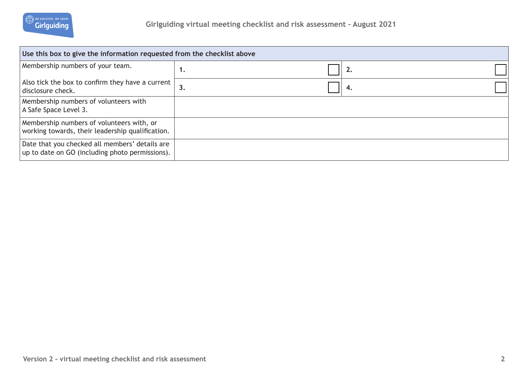

| Use this box to give the information requested from the checklist above                           |    |  |    |  |  |  |
|---------------------------------------------------------------------------------------------------|----|--|----|--|--|--|
| Membership numbers of your team.                                                                  | ٠. |  | 2. |  |  |  |
| Also tick the box to confirm they have a current $ $<br>disclosure check.                         | 3. |  | 4. |  |  |  |
| Membership numbers of volunteers with<br>A Safe Space Level 3.                                    |    |  |    |  |  |  |
| Membership numbers of volunteers with, or<br>working towards, their leadership qualification.     |    |  |    |  |  |  |
| Date that you checked all members' details are<br>up to date on GO (including photo permissions). |    |  |    |  |  |  |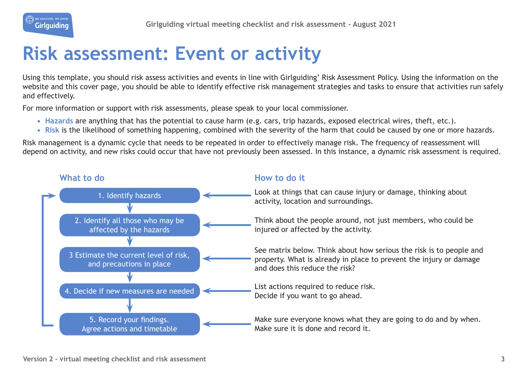

## **Risk assessment: Event or activity**

Using this template, you should risk assess activities and events in line with Girlguiding' Risk Assessment Policy. Using the information on the website and this cover page, you should be able to identify effective risk management strategies and tasks to ensure that activities run safely and effectively.

For more information or support with risk assessments, please speak to your local commissioner.

- **• Hazards** are anything that has the potential to cause harm (e.g. cars, trip hazards, exposed electrical wires, theft, etc.).
- **• Risk** is the likelihood of something happening, combined with the severity of the harm that could be caused by one or more hazards.

Risk management is a dynamic cycle that needs to be repeated in order to effectively manage risk. The frequency of reassessment will depend on activity, and new risks could occur that have not previously been assessed. In this instance, a dynamic risk assessment is required.

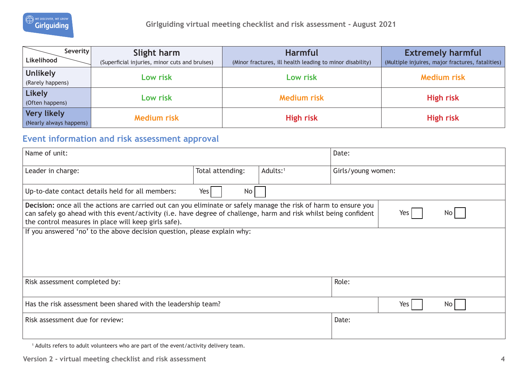

| Severity                | Slight harm                                    | <b>Harmful</b>                                            | <b>Extremely harmful</b>                         |
|-------------------------|------------------------------------------------|-----------------------------------------------------------|--------------------------------------------------|
| Likelihood              | (Superficial injuries, minor cuts and bruises) | (Minor fractures, ill health leading to minor disability) | (Multiple injuires, major fractures, fatalities) |
| <b>Unlikely</b>         | Low risk                                       | Low risk                                                  | <b>Medium risk</b>                               |
| (Rarely happens)        |                                                |                                                           |                                                  |
| <b>Likely</b>           | Low risk                                       | <b>Medium risk</b>                                        | <b>High risk</b>                                 |
| (Often happens)         |                                                |                                                           |                                                  |
| <b>Very likely</b>      | <b>Medium risk</b>                             | <b>High risk</b>                                          | <b>High risk</b>                                 |
| (Nearly always happens) |                                                |                                                           |                                                  |

### **Event information and risk assessment approval**

| Name of unit:                                                                                                                                                                                                                                                                                                |                        |                      | Date:              |         |                 |  |  |
|--------------------------------------------------------------------------------------------------------------------------------------------------------------------------------------------------------------------------------------------------------------------------------------------------------------|------------------------|----------------------|--------------------|---------|-----------------|--|--|
| Leader in charge:                                                                                                                                                                                                                                                                                            | Total attending:       | Adults: <sup>1</sup> | Girls/young women: |         |                 |  |  |
| Up-to-date contact details held for all members:                                                                                                                                                                                                                                                             | Yes<br>No <sub>1</sub> |                      |                    |         |                 |  |  |
| Decision: once all the actions are carried out can you eliminate or safely manage the risk of harm to ensure you<br>can safely go ahead with this event/activity (i.e. have degree of challenge, harm and risk whilst being confident<br>No<br>Yes  <br>the control measures in place will keep girls safe). |                        |                      |                    |         |                 |  |  |
| If you answered 'no' to the above decision question, please explain why:                                                                                                                                                                                                                                     |                        |                      |                    |         |                 |  |  |
| Risk assessment completed by:                                                                                                                                                                                                                                                                                |                        |                      | Role:              |         |                 |  |  |
| Has the risk assessment been shared with the leadership team?                                                                                                                                                                                                                                                |                        |                      |                    | Yes $ $ | No <sub>l</sub> |  |  |
| Risk assessment due for review:                                                                                                                                                                                                                                                                              |                        |                      | Date:              |         |                 |  |  |

1 Adults refers to adult volunteers who are part of the event/activity delivery team.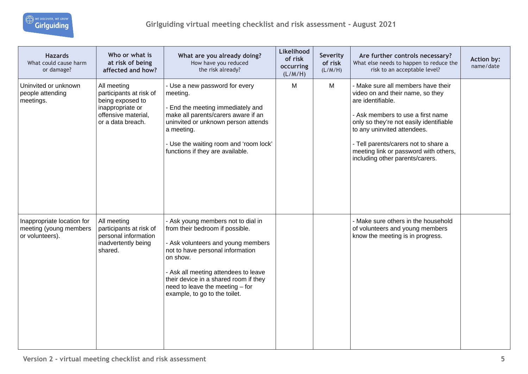| <b>Hazards</b><br>What could cause harm<br>or damage?                   | Who or what is<br>at risk of being<br>affected and how?                                                                    | What are you already doing?<br>How have you reduced<br>the risk already?                                                                                                                                                                                                                                         | Likelihood<br>of risk<br>occurring<br>(L/M/H) | Severity<br>of risk<br>(L/M/H) | Are further controls necessary?<br>What else needs to happen to reduce the<br>risk to an acceptable level?                                                                                                                                                                                                                     | <b>Action by:</b><br>name/date |
|-------------------------------------------------------------------------|----------------------------------------------------------------------------------------------------------------------------|------------------------------------------------------------------------------------------------------------------------------------------------------------------------------------------------------------------------------------------------------------------------------------------------------------------|-----------------------------------------------|--------------------------------|--------------------------------------------------------------------------------------------------------------------------------------------------------------------------------------------------------------------------------------------------------------------------------------------------------------------------------|--------------------------------|
| Uninvited or unknown<br>people attending<br>meetings.                   | All meeting<br>participants at risk of<br>being exposed to<br>inappropriate or<br>offensive material,<br>or a data breach. | - Use a new password for every<br>meeting.<br>- End the meeting immediately and<br>make all parents/carers aware if an<br>uninvited or unknown person attends<br>a meeting.<br>- Use the waiting room and 'room lock'<br>functions if they are available.                                                        | M                                             | M                              | - Make sure all members have their<br>video on and their name, so they<br>are identifiable.<br>- Ask members to use a first name<br>only so they're not easily identifiable<br>to any uninvited attendees.<br>- Tell parents/carers not to share a<br>meeting link or password with others,<br>including other parents/carers. |                                |
| Inappropriate location for<br>meeting (young members<br>or volunteers). | All meeting<br>participants at risk of<br>personal information<br>inadvertently being<br>shared.                           | - Ask young members not to dial in<br>from their bedroom if possible.<br>- Ask volunteers and young members<br>not to have personal information<br>on show.<br>- Ask all meeting attendees to leave<br>their device in a shared room if they<br>need to leave the meeting - for<br>example, to go to the toilet. |                                               |                                | - Make sure others in the household<br>of volunteers and young members<br>know the meeting is in progress.                                                                                                                                                                                                                     |                                |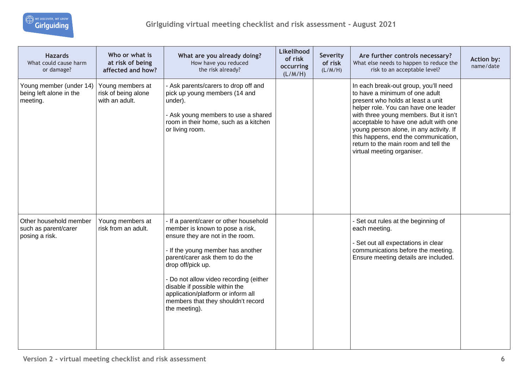| <b>Hazards</b><br>What could cause harm<br>or damage?            | Who or what is<br>at risk of being<br>affected and how?   | What are you already doing?<br>How have you reduced<br>the risk already?                                                                                                                                                                                                                                                                                                            | Likelihood<br>of risk<br>occurring<br>(L/M/H) | Severity<br>of risk<br>(L/M/H) | Are further controls necessary?<br>What else needs to happen to reduce the<br>risk to an acceptable level?                                                                                                                                                                                                                                                                                      | Action by:<br>name/date |
|------------------------------------------------------------------|-----------------------------------------------------------|-------------------------------------------------------------------------------------------------------------------------------------------------------------------------------------------------------------------------------------------------------------------------------------------------------------------------------------------------------------------------------------|-----------------------------------------------|--------------------------------|-------------------------------------------------------------------------------------------------------------------------------------------------------------------------------------------------------------------------------------------------------------------------------------------------------------------------------------------------------------------------------------------------|-------------------------|
| Young member (under 14)<br>being left alone in the<br>meeting.   | Young members at<br>risk of being alone<br>with an adult. | - Ask parents/carers to drop off and<br>pick up young members (14 and<br>under).<br>- Ask young members to use a shared<br>room in their home, such as a kitchen<br>or living room.                                                                                                                                                                                                 |                                               |                                | In each break-out group, you'll need<br>to have a minimum of one adult<br>present who holds at least a unit<br>helper role. You can have one leader<br>with three young members. But it isn't<br>acceptable to have one adult with one<br>young person alone, in any activity. If<br>this happens, end the communication,<br>return to the main room and tell the<br>virtual meeting organiser. |                         |
| Other household member<br>such as parent/carer<br>posing a risk. | Young members at<br>risk from an adult.                   | - If a parent/carer or other household<br>member is known to pose a risk,<br>ensure they are not in the room.<br>- If the young member has another<br>parent/carer ask them to do the<br>drop off/pick up.<br>- Do not allow video recording (either<br>disable if possible within the<br>application/platform or inform all<br>members that they shouldn't record<br>the meeting). |                                               |                                | - Set out rules at the beginning of<br>each meeting.<br>- Set out all expectations in clear<br>communications before the meeting.<br>Ensure meeting details are included.                                                                                                                                                                                                                       |                         |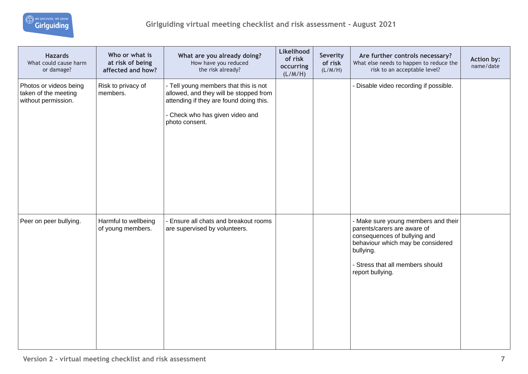| <b>Hazards</b><br>What could cause harm<br>or damage?                 | Who or what is<br>at risk of being<br>affected and how? | What are you already doing?<br>How have you reduced<br>the risk already?                                                                                                        | Likelihood<br>of risk<br>occurring<br>(L/M/H) | Severity<br>of risk<br>(L/M/H) | Are further controls necessary?<br>What else needs to happen to reduce the<br>risk to an acceptable level?                                                                                                   | Action by:<br>name/date |
|-----------------------------------------------------------------------|---------------------------------------------------------|---------------------------------------------------------------------------------------------------------------------------------------------------------------------------------|-----------------------------------------------|--------------------------------|--------------------------------------------------------------------------------------------------------------------------------------------------------------------------------------------------------------|-------------------------|
| Photos or videos being<br>taken of the meeting<br>without permission. | Risk to privacy of<br>members.                          | - Tell young members that this is not<br>allowed, and they will be stopped from<br>attending if they are found doing this.<br>- Check who has given video and<br>photo consent. |                                               |                                | - Disable video recording if possible.                                                                                                                                                                       |                         |
| Peer on peer bullying.                                                | Harmful to wellbeing<br>of young members.               | - Ensure all chats and breakout rooms<br>are supervised by volunteers.                                                                                                          |                                               |                                | - Make sure young members and their<br>parents/carers are aware of<br>consequences of bullying and<br>behaviour which may be considered<br>bullying.<br>- Stress that all members should<br>report bullying. |                         |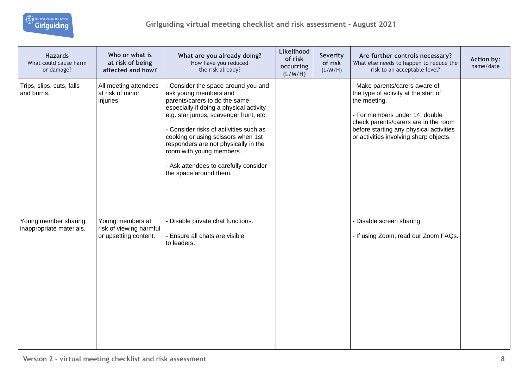

| <b>Hazards</b><br>What could cause harm<br>or damage? | Who or what is<br>at risk of being<br>affected and how?              | What are you already doing?<br>How have you reduced<br>the risk already?                                                                                                                                                                                                                                                                                                                                    | Likelihood<br>of risk<br>occurring<br>(L/M/H) | Severity<br>of risk<br>(L/M/H) | Are further controls necessary?<br>What else needs to happen to reduce the<br>risk to an acceptable level?                                                                                                                                            | Action by:<br>name/date |
|-------------------------------------------------------|----------------------------------------------------------------------|-------------------------------------------------------------------------------------------------------------------------------------------------------------------------------------------------------------------------------------------------------------------------------------------------------------------------------------------------------------------------------------------------------------|-----------------------------------------------|--------------------------------|-------------------------------------------------------------------------------------------------------------------------------------------------------------------------------------------------------------------------------------------------------|-------------------------|
| Trips, slips, cuts, falls<br>and burns.               | All meeting attendees<br>at risk of minor<br>injuries.               | - Consider the space around you and<br>ask young members and<br>parents/carers to do the same,<br>especially if doing a physical activity -<br>e.g. star jumps, scavenger hunt, etc.<br>- Consider risks of activities such as<br>cooking or using scissors when 1st<br>responders are not physically in the<br>room with young members.<br>- Ask attendees to carefully consider<br>the space around them. |                                               |                                | - Make parents/carers aware of<br>the type of activity at the start of<br>the meeting.<br>- For members under 14, double<br>check parents/carers are in the room<br>before starting any physical activities<br>or activities involving sharp objects. |                         |
| Young member sharing<br>inappropriate materials.      | Young members at<br>risk of viewing harmful<br>or upsetting content. | Disable private chat functions.<br>- Ensure all chats are visible<br>to leaders.                                                                                                                                                                                                                                                                                                                            |                                               |                                | - Disable screen sharing.<br>- If using Zoom, read our Zoom FAQs.                                                                                                                                                                                     |                         |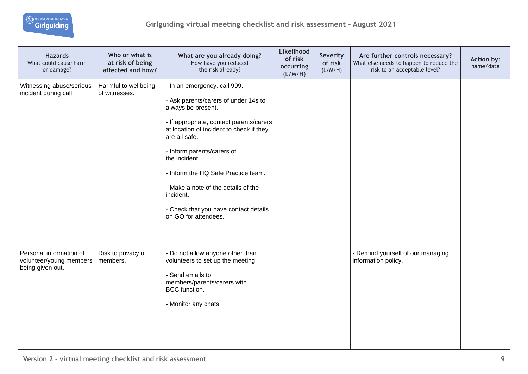

| <b>Hazards</b><br>What could cause harm<br>or damage?                  | Who or what is<br>at risk of being<br>affected and how? | What are you already doing?<br>How have you reduced<br>the risk already?                                                                                                                                                                                                                                                                                                                                     | Likelihood<br>of risk<br>occurring<br>(L/M/H) | Severity<br>of risk<br>(L/M/H) | Are further controls necessary?<br>What else needs to happen to reduce the<br>risk to an acceptable level? | Action by:<br>name/date |
|------------------------------------------------------------------------|---------------------------------------------------------|--------------------------------------------------------------------------------------------------------------------------------------------------------------------------------------------------------------------------------------------------------------------------------------------------------------------------------------------------------------------------------------------------------------|-----------------------------------------------|--------------------------------|------------------------------------------------------------------------------------------------------------|-------------------------|
| Witnessing abuse/serious<br>incident during call.                      | Harmful to wellbeing<br>of witnesses.                   | - In an emergency, call 999.<br>- Ask parents/carers of under 14s to<br>always be present.<br>- If appropriate, contact parents/carers<br>at location of incident to check if they<br>are all safe.<br>- Inform parents/carers of<br>the incident.<br>Inform the HQ Safe Practice team.<br>- Make a note of the details of the<br>incident.<br>- Check that you have contact details<br>on GO for attendees. |                                               |                                |                                                                                                            |                         |
| Personal information of<br>volunteer/young members<br>being given out. | Risk to privacy of<br>members.                          | - Do not allow anyone other than<br>volunteers to set up the meeting.<br>- Send emails to<br>members/parents/carers with<br>BCC function.<br>- Monitor any chats.                                                                                                                                                                                                                                            |                                               |                                | - Remind yourself of our managing<br>information policy.                                                   |                         |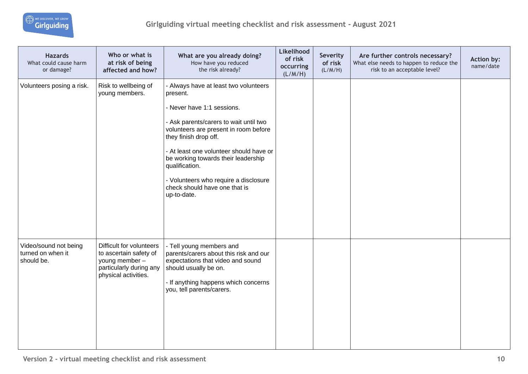

| <b>Hazards</b><br>What could cause harm<br>or damage?    | Who or what is<br>at risk of being<br>affected and how?                                                                 | What are you already doing?<br>How have you reduced<br>the risk already?                                                                                                                                                                                                                                                                                                                 | Likelihood<br>of risk<br>occurring<br>(L/M/H) | Severity<br>of risk<br>(L/M/H) | Are further controls necessary?<br>What else needs to happen to reduce the<br>risk to an acceptable level? | Action by:<br>name/date |
|----------------------------------------------------------|-------------------------------------------------------------------------------------------------------------------------|------------------------------------------------------------------------------------------------------------------------------------------------------------------------------------------------------------------------------------------------------------------------------------------------------------------------------------------------------------------------------------------|-----------------------------------------------|--------------------------------|------------------------------------------------------------------------------------------------------------|-------------------------|
| Volunteers posing a risk.                                | Risk to wellbeing of<br>young members.                                                                                  | - Always have at least two volunteers<br>present.<br>- Never have 1:1 sessions.<br>- Ask parents/carers to wait until two<br>volunteers are present in room before<br>they finish drop off.<br>- At least one volunteer should have or<br>be working towards their leadership<br>qualification.<br>- Volunteers who require a disclosure<br>check should have one that is<br>up-to-date. |                                               |                                |                                                                                                            |                         |
| Video/sound not being<br>turned on when it<br>should be. | Difficult for volunteers<br>to ascertain safety of<br>young member -<br>particularly during any<br>physical activities. | - Tell young members and<br>parents/carers about this risk and our<br>expectations that video and sound<br>should usually be on.<br>- If anything happens which concerns<br>you, tell parents/carers.                                                                                                                                                                                    |                                               |                                |                                                                                                            |                         |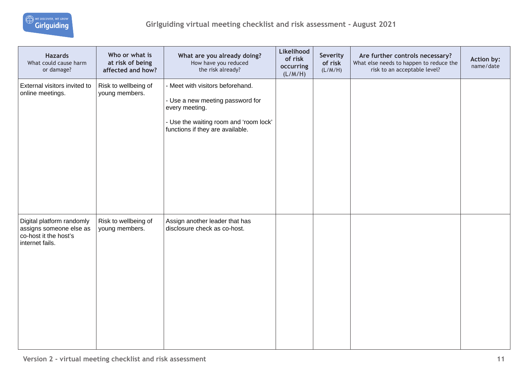

| <b>Hazards</b><br>What could cause harm<br>or damage?                                            | Who or what is<br>at risk of being<br>affected and how? | What are you already doing?<br>How have you reduced<br>the risk already?                                                                                             | Likelihood<br>of risk<br>occurring<br>(L/M/H) | Severity<br>of risk<br>(L/M/H) | Are further controls necessary?<br>What else needs to happen to reduce the<br>risk to an acceptable level? | Action by:<br>name/date |
|--------------------------------------------------------------------------------------------------|---------------------------------------------------------|----------------------------------------------------------------------------------------------------------------------------------------------------------------------|-----------------------------------------------|--------------------------------|------------------------------------------------------------------------------------------------------------|-------------------------|
| External visitors invited to<br>online meetings.                                                 | Risk to wellbeing of<br>young members.                  | - Meet with visitors beforehand.<br>- Use a new meeting password for<br>every meeting.<br>- Use the waiting room and 'room lock'<br>functions if they are available. |                                               |                                |                                                                                                            |                         |
| Digital platform randomly<br>assigns someone else as<br>co-host it the host's<br>internet fails. | Risk to wellbeing of<br>young members.                  | Assign another leader that has<br>disclosure check as co-host.                                                                                                       |                                               |                                |                                                                                                            |                         |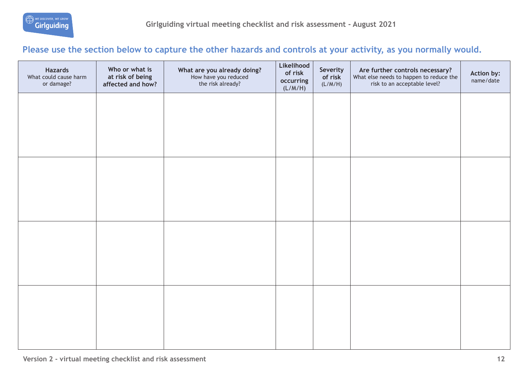

### **Please use the section below to capture the other hazards and controls at your activity, as you normally would.**

| <b>Hazards</b><br>What could cause harm<br>or damage? | Who or what is<br>at risk of being<br>affected and how? | What are you already doing?<br>How have you reduced<br>the risk already? | Likelihood<br>of risk<br>occurring<br>(L/M/H) | Severity<br>of risk<br>(L/M/H) | Are further controls necessary?<br>What else needs to happen to reduce the<br>risk to an acceptable level? | Action by:<br>name/date |
|-------------------------------------------------------|---------------------------------------------------------|--------------------------------------------------------------------------|-----------------------------------------------|--------------------------------|------------------------------------------------------------------------------------------------------------|-------------------------|
|                                                       |                                                         |                                                                          |                                               |                                |                                                                                                            |                         |
|                                                       |                                                         |                                                                          |                                               |                                |                                                                                                            |                         |
|                                                       |                                                         |                                                                          |                                               |                                |                                                                                                            |                         |
|                                                       |                                                         |                                                                          |                                               |                                |                                                                                                            |                         |
|                                                       |                                                         |                                                                          |                                               |                                |                                                                                                            |                         |
|                                                       |                                                         |                                                                          |                                               |                                |                                                                                                            |                         |
|                                                       |                                                         |                                                                          |                                               |                                |                                                                                                            |                         |
|                                                       |                                                         |                                                                          |                                               |                                |                                                                                                            |                         |